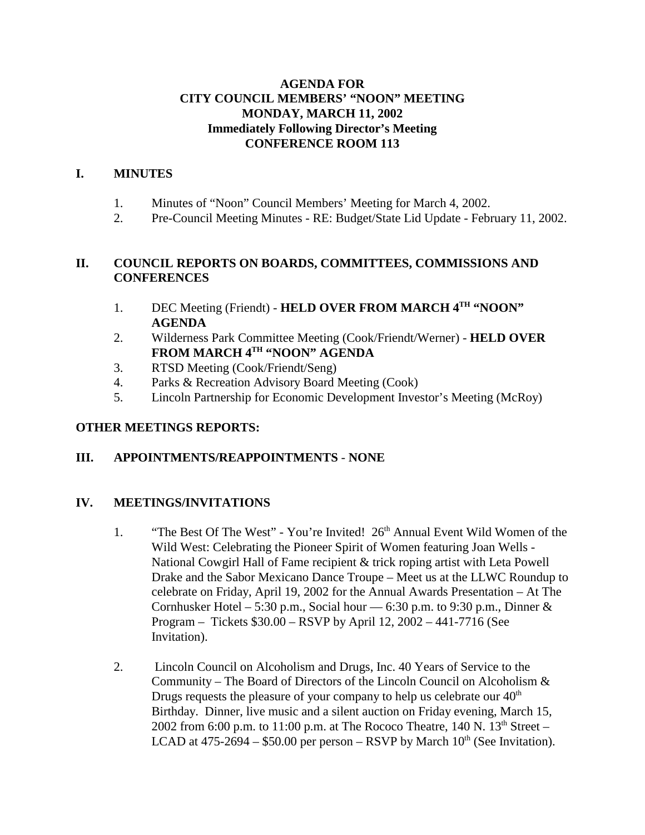### **AGENDA FOR CITY COUNCIL MEMBERS' "NOON" MEETING MONDAY, MARCH 11, 2002 Immediately Following Director's Meeting CONFERENCE ROOM 113**

## **I. MINUTES**

- 1. Minutes of "Noon" Council Members' Meeting for March 4, 2002.
- 2. Pre-Council Meeting Minutes RE: Budget/State Lid Update February 11, 2002.

## **II. COUNCIL REPORTS ON BOARDS, COMMITTEES, COMMISSIONS AND CONFERENCES**

- 1. DEC Meeting (Friendt) **HELD OVER FROM MARCH 4<sup>TH</sup> "NOON" AGENDA**
- 2. Wilderness Park Committee Meeting (Cook/Friendt/Werner) **HELD OVER FROM MARCH 4TH "NOON" AGENDA**
- 3. RTSD Meeting (Cook/Friendt/Seng)
- 4. Parks & Recreation Advisory Board Meeting (Cook)
- 5. Lincoln Partnership for Economic Development Investor's Meeting (McRoy)

### **OTHER MEETINGS REPORTS:**

## **III. APPOINTMENTS/REAPPOINTMENTS** - **NONE**

## **IV. MEETINGS/INVITATIONS**

- 1. "The Best Of The West" You're Invited! 26<sup>th</sup> Annual Event Wild Women of the Wild West: Celebrating the Pioneer Spirit of Women featuring Joan Wells - National Cowgirl Hall of Fame recipient & trick roping artist with Leta Powell Drake and the Sabor Mexicano Dance Troupe – Meet us at the LLWC Roundup to celebrate on Friday, April 19, 2002 for the Annual Awards Presentation – At The Cornhusker Hotel – 5:30 p.m., Social hour — 6:30 p.m. to 9:30 p.m., Dinner  $\&$ Program – Tickets \$30.00 – RSVP by April 12, 2002 – 441-7716 (See Invitation).
- 2. Lincoln Council on Alcoholism and Drugs, Inc. 40 Years of Service to the Community – The Board of Directors of the Lincoln Council on Alcoholism & Drugs requests the pleasure of your company to help us celebrate our  $40<sup>th</sup>$ Birthday. Dinner, live music and a silent auction on Friday evening, March 15, 2002 from 6:00 p.m. to 11:00 p.m. at The Rococo Theatre, 140 N.  $13<sup>th</sup>$  Street – LCAD at  $475-2694 - $50.00$  per person – RSVP by March  $10<sup>th</sup>$  (See Invitation).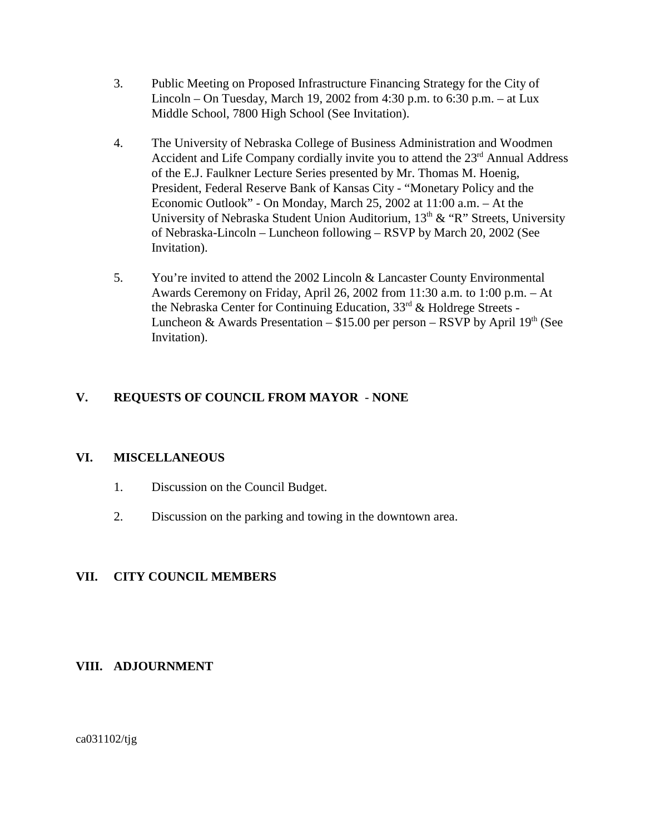- 3. Public Meeting on Proposed Infrastructure Financing Strategy for the City of Lincoln – On Tuesday, March 19, 2002 from 4:30 p.m. to 6:30 p.m. – at Lux Middle School, 7800 High School (See Invitation).
- 4. The University of Nebraska College of Business Administration and Woodmen Accident and Life Company cordially invite you to attend the 23<sup>rd</sup> Annual Address of the E.J. Faulkner Lecture Series presented by Mr. Thomas M. Hoenig, President, Federal Reserve Bank of Kansas City - "Monetary Policy and the Economic Outlook" - On Monday, March 25, 2002 at 11:00 a.m. – At the University of Nebraska Student Union Auditorium,  $13<sup>th</sup>$  & "R" Streets, University of Nebraska-Lincoln – Luncheon following – RSVP by March 20, 2002 (See Invitation).
- 5. You're invited to attend the 2002 Lincoln & Lancaster County Environmental Awards Ceremony on Friday, April 26, 2002 from 11:30 a.m. to 1:00 p.m. – At the Nebraska Center for Continuing Education, 33rd & Holdrege Streets - Luncheon & Awards Presentation –  $$15.00$  per person – RSVP by April 19<sup>th</sup> (See Invitation).

## **V. REQUESTS OF COUNCIL FROM MAYOR** - **NONE**

### **VI. MISCELLANEOUS**

- 1. Discussion on the Council Budget.
- 2. Discussion on the parking and towing in the downtown area.

### **VII. CITY COUNCIL MEMBERS**

### **VIII. ADJOURNMENT**

ca031102/tjg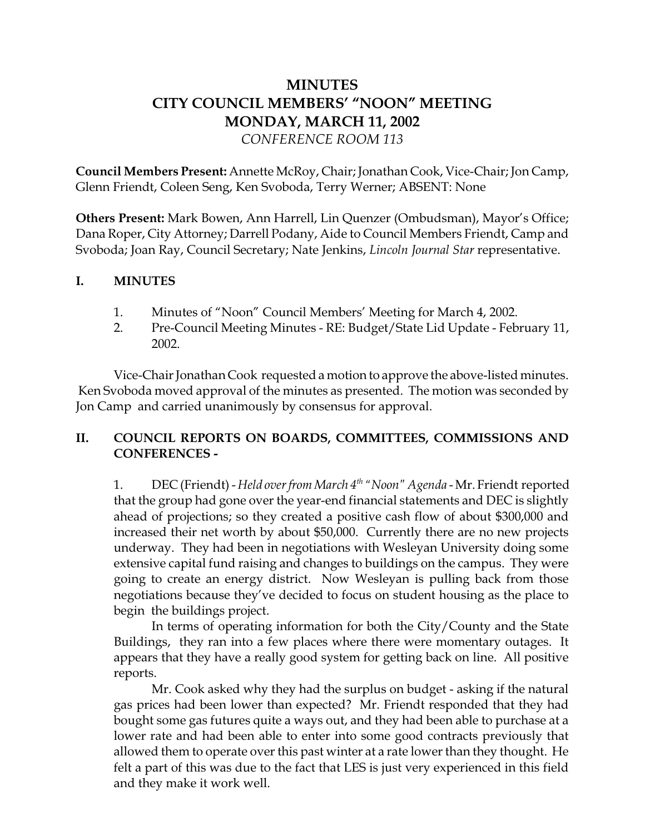# **MINUTES CITY COUNCIL MEMBERS' "NOON" MEETING MONDAY, MARCH 11, 2002** *CONFERENCE ROOM 113*

**Council Members Present:** Annette McRoy, Chair; Jonathan Cook, Vice-Chair; Jon Camp, Glenn Friendt, Coleen Seng, Ken Svoboda, Terry Werner; ABSENT: None

**Others Present:** Mark Bowen, Ann Harrell, Lin Quenzer (Ombudsman), Mayor's Office; Dana Roper, City Attorney; Darrell Podany, Aide to Council Members Friendt, Camp and Svoboda; Joan Ray, Council Secretary; Nate Jenkins, *Lincoln Journal Star* representative.

### **I. MINUTES**

- 1. Minutes of "Noon" Council Members' Meeting for March 4, 2002.
- 2. Pre-Council Meeting Minutes RE: Budget/State Lid Update February 11, 2002.

Vice-Chair Jonathan Cook requested a motion to approve the above-listed minutes. Ken Svoboda moved approval of the minutes as presented. The motion was seconded by Jon Camp and carried unanimously by consensus for approval.

## **II. COUNCIL REPORTS ON BOARDS, COMMITTEES, COMMISSIONS AND CONFERENCES -**

1. DEC (Friendt) - *Held over from March 4th "Noon" Agenda* - Mr. Friendt reported that the group had gone over the year-end financial statements and DEC is slightly ahead of projections; so they created a positive cash flow of about \$300,000 and increased their net worth by about \$50,000. Currently there are no new projects underway. They had been in negotiations with Wesleyan University doing some extensive capital fund raising and changes to buildings on the campus. They were going to create an energy district. Now Wesleyan is pulling back from those negotiations because they've decided to focus on student housing as the place to begin the buildings project.

In terms of operating information for both the City/County and the State Buildings, they ran into a few places where there were momentary outages. It appears that they have a really good system for getting back on line. All positive reports.

Mr. Cook asked why they had the surplus on budget - asking if the natural gas prices had been lower than expected? Mr. Friendt responded that they had bought some gas futures quite a ways out, and they had been able to purchase at a lower rate and had been able to enter into some good contracts previously that allowed them to operate over this past winter at a rate lower than they thought. He felt a part of this was due to the fact that LES is just very experienced in this field and they make it work well.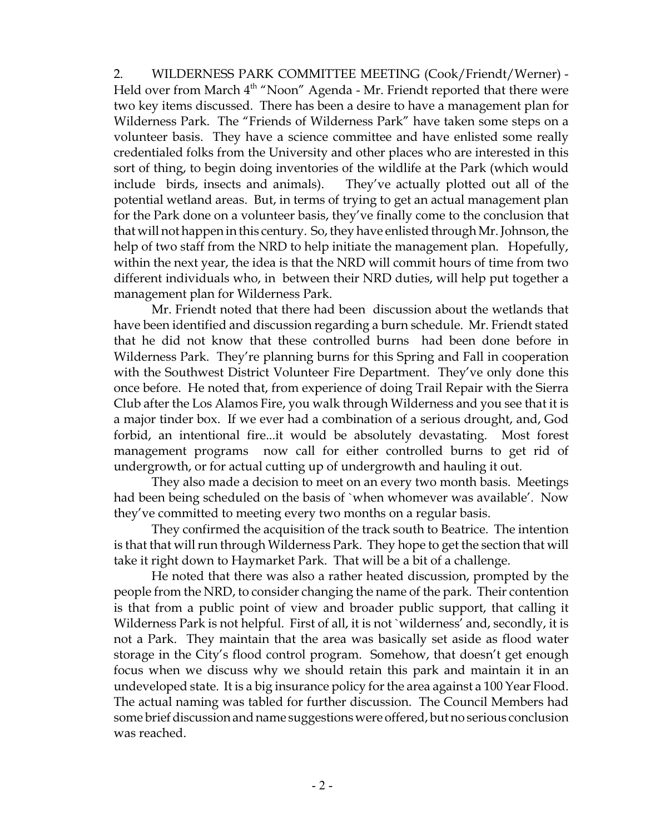2. WILDERNESS PARK COMMITTEE MEETING (Cook/Friendt/Werner) - Held over from March 4<sup>th</sup> "Noon" Agenda - Mr. Friendt reported that there were two key items discussed. There has been a desire to have a management plan for Wilderness Park. The "Friends of Wilderness Park" have taken some steps on a volunteer basis. They have a science committee and have enlisted some really credentialed folks from the University and other places who are interested in this sort of thing, to begin doing inventories of the wildlife at the Park (which would include birds, insects and animals). They've actually plotted out all of the potential wetland areas. But, in terms of trying to get an actual management plan for the Park done on a volunteer basis, they've finally come to the conclusion that that will not happen in this century. So, they have enlisted through Mr. Johnson, the help of two staff from the NRD to help initiate the management plan. Hopefully, within the next year, the idea is that the NRD will commit hours of time from two different individuals who, in between their NRD duties, will help put together a management plan for Wilderness Park.

Mr. Friendt noted that there had been discussion about the wetlands that have been identified and discussion regarding a burn schedule. Mr. Friendt stated that he did not know that these controlled burns had been done before in Wilderness Park. They're planning burns for this Spring and Fall in cooperation with the Southwest District Volunteer Fire Department. They've only done this once before. He noted that, from experience of doing Trail Repair with the Sierra Club after the Los Alamos Fire, you walk through Wilderness and you see that it is a major tinder box. If we ever had a combination of a serious drought, and, God forbid, an intentional fire...it would be absolutely devastating. Most forest management programs now call for either controlled burns to get rid of undergrowth, or for actual cutting up of undergrowth and hauling it out.

They also made a decision to meet on an every two month basis. Meetings had been being scheduled on the basis of `when whomever was available'. Now they've committed to meeting every two months on a regular basis.

They confirmed the acquisition of the track south to Beatrice. The intention is that that will run through Wilderness Park. They hope to get the section that will take it right down to Haymarket Park. That will be a bit of a challenge.

He noted that there was also a rather heated discussion, prompted by the people from the NRD, to consider changing the name of the park. Their contention is that from a public point of view and broader public support, that calling it Wilderness Park is not helpful. First of all, it is not `wilderness' and, secondly, it is not a Park. They maintain that the area was basically set aside as flood water storage in the City's flood control program. Somehow, that doesn't get enough focus when we discuss why we should retain this park and maintain it in an undeveloped state. It is a big insurance policy for the area against a 100 Year Flood. The actual naming was tabled for further discussion. The Council Members had some brief discussion and name suggestions were offered, but no serious conclusion was reached.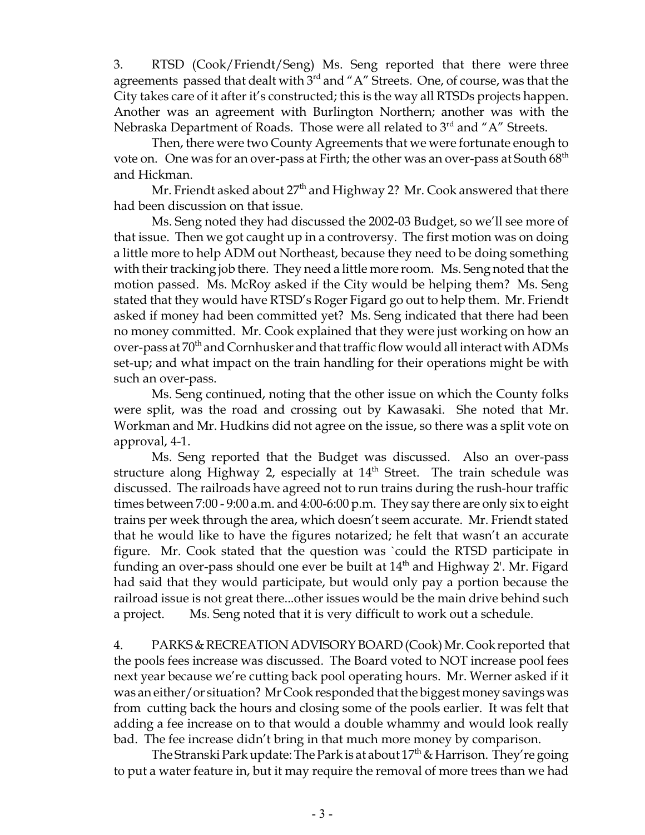3. RTSD (Cook/Friendt/Seng) Ms. Seng reported that there were three agreements passed that dealt with 3<sup>rd</sup> and "A" Streets. One, of course, was that the City takes care of it after it's constructed; this is the way all RTSDs projects happen. Another was an agreement with Burlington Northern; another was with the Nebraska Department of Roads. Those were all related to  $3<sup>rd</sup>$  and "A" Streets.

Then, there were two County Agreements that we were fortunate enough to vote on. One was for an over-pass at Firth; the other was an over-pass at South  $68<sup>th</sup>$ and Hickman.

Mr. Friendt asked about  $27<sup>th</sup>$  and Highway 2? Mr. Cook answered that there had been discussion on that issue.

Ms. Seng noted they had discussed the 2002-03 Budget, so we'll see more of that issue. Then we got caught up in a controversy. The first motion was on doing a little more to help ADM out Northeast, because they need to be doing something with their tracking job there. They need a little more room. Ms. Seng noted that the motion passed. Ms. McRoy asked if the City would be helping them? Ms. Seng stated that they would have RTSD's Roger Figard go out to help them. Mr. Friendt asked if money had been committed yet? Ms. Seng indicated that there had been no money committed. Mr. Cook explained that they were just working on how an over-pass at 70<sup>th</sup> and Cornhusker and that traffic flow would all interact with ADMs set-up; and what impact on the train handling for their operations might be with such an over-pass.

Ms. Seng continued, noting that the other issue on which the County folks were split, was the road and crossing out by Kawasaki. She noted that Mr. Workman and Mr. Hudkins did not agree on the issue, so there was a split vote on approval, 4-1.

Ms. Seng reported that the Budget was discussed. Also an over-pass structure along Highway 2, especially at  $14<sup>th</sup>$  Street. The train schedule was discussed. The railroads have agreed not to run trains during the rush-hour traffic times between 7:00 - 9:00 a.m. and 4:00-6:00 p.m. They say there are only six to eight trains per week through the area, which doesn't seem accurate. Mr. Friendt stated that he would like to have the figures notarized; he felt that wasn't an accurate figure. Mr. Cook stated that the question was `could the RTSD participate in funding an over-pass should one ever be built at  $14<sup>th</sup>$  and Highway 2'. Mr. Figard had said that they would participate, but would only pay a portion because the railroad issue is not great there...other issues would be the main drive behind such a project. Ms. Seng noted that it is very difficult to work out a schedule.

4. PARKS & RECREATION ADVISORY BOARD (Cook) Mr. Cook reported that the pools fees increase was discussed. The Board voted to NOT increase pool fees next year because we're cutting back pool operating hours. Mr. Werner asked if it was an either/or situation? Mr Cook responded that the biggest money savings was from cutting back the hours and closing some of the pools earlier. It was felt that adding a fee increase on to that would a double whammy and would look really bad. The fee increase didn't bring in that much more money by comparison.

The Stranski Park update: The Park is at about  $17<sup>th</sup>$  & Harrison. They're going to put a water feature in, but it may require the removal of more trees than we had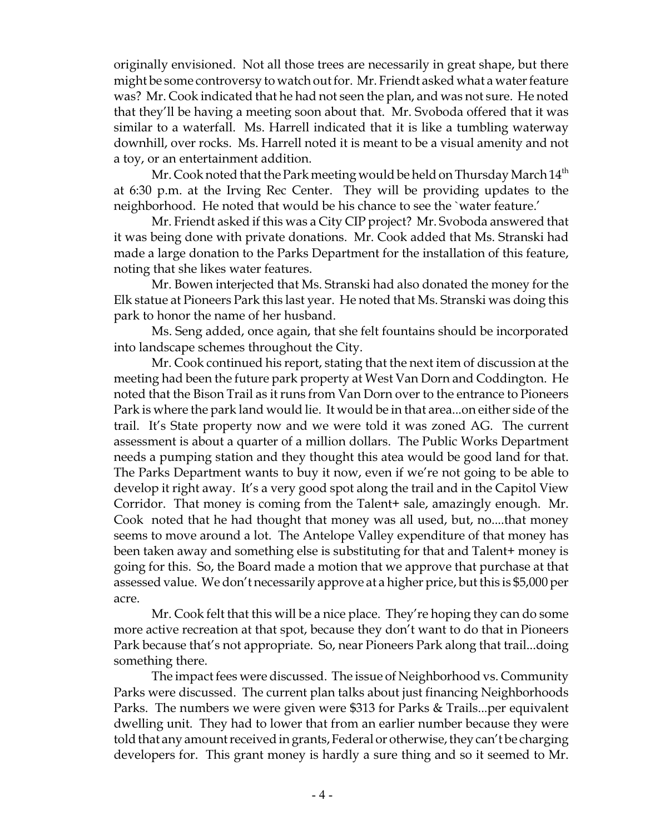originally envisioned. Not all those trees are necessarily in great shape, but there might be some controversy to watch out for. Mr. Friendt asked what a water feature was? Mr. Cook indicated that he had not seen the plan, and was not sure. He noted that they'll be having a meeting soon about that. Mr. Svoboda offered that it was similar to a waterfall. Ms. Harrell indicated that it is like a tumbling waterway downhill, over rocks. Ms. Harrell noted it is meant to be a visual amenity and not a toy, or an entertainment addition.

Mr. Cook noted that the Park meeting would be held on Thursday March  $14<sup>th</sup>$ at 6:30 p.m. at the Irving Rec Center. They will be providing updates to the neighborhood. He noted that would be his chance to see the `water feature.'

Mr. Friendt asked if this was a City CIP project? Mr. Svoboda answered that it was being done with private donations. Mr. Cook added that Ms. Stranski had made a large donation to the Parks Department for the installation of this feature, noting that she likes water features.

Mr. Bowen interjected that Ms. Stranski had also donated the money for the Elk statue at Pioneers Park this last year. He noted that Ms. Stranski was doing this park to honor the name of her husband.

Ms. Seng added, once again, that she felt fountains should be incorporated into landscape schemes throughout the City.

Mr. Cook continued his report, stating that the next item of discussion at the meeting had been the future park property at West Van Dorn and Coddington. He noted that the Bison Trail as it runs from Van Dorn over to the entrance to Pioneers Park is where the park land would lie. It would be in that area...on either side of the trail. It's State property now and we were told it was zoned AG. The current assessment is about a quarter of a million dollars. The Public Works Department needs a pumping station and they thought this atea would be good land for that. The Parks Department wants to buy it now, even if we're not going to be able to develop it right away. It's a very good spot along the trail and in the Capitol View Corridor. That money is coming from the Talent+ sale, amazingly enough. Mr. Cook noted that he had thought that money was all used, but, no....that money seems to move around a lot. The Antelope Valley expenditure of that money has been taken away and something else is substituting for that and Talent+ money is going for this. So, the Board made a motion that we approve that purchase at that assessed value. We don't necessarily approve at a higher price, but this is \$5,000 per acre.

Mr. Cook felt that this will be a nice place. They're hoping they can do some more active recreation at that spot, because they don't want to do that in Pioneers Park because that's not appropriate. So, near Pioneers Park along that trail...doing something there.

The impact fees were discussed. The issue of Neighborhood vs. Community Parks were discussed. The current plan talks about just financing Neighborhoods Parks. The numbers we were given were \$313 for Parks & Trails...per equivalent dwelling unit. They had to lower that from an earlier number because they were told that any amount received in grants, Federal or otherwise, they can't be charging developers for. This grant money is hardly a sure thing and so it seemed to Mr.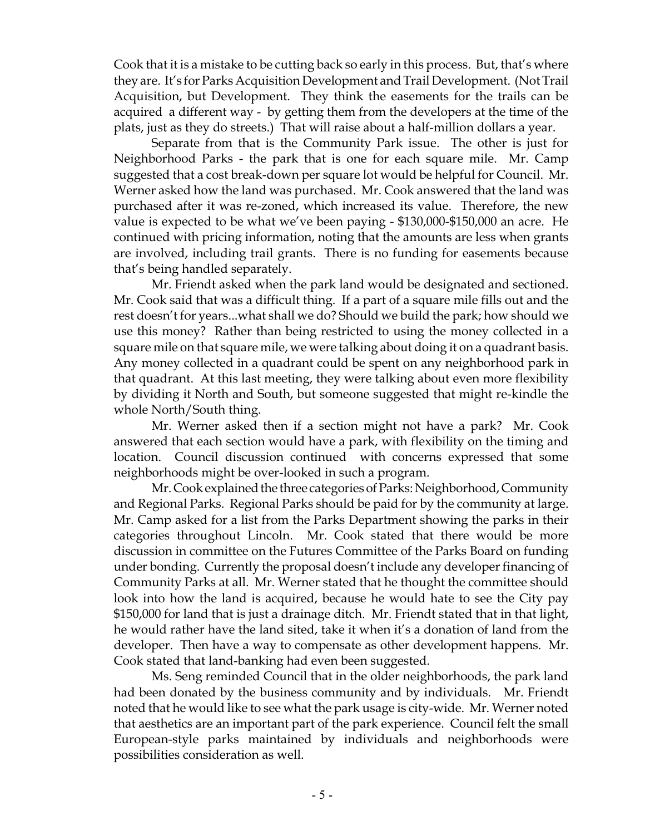Cook that it is a mistake to be cutting back so early in this process. But, that's where they are. It's for Parks Acquisition Development and Trail Development. (Not Trail Acquisition, but Development. They think the easements for the trails can be acquired a different way - by getting them from the developers at the time of the plats, just as they do streets.) That will raise about a half-million dollars a year.

Separate from that is the Community Park issue. The other is just for Neighborhood Parks - the park that is one for each square mile. Mr. Camp suggested that a cost break-down per square lot would be helpful for Council. Mr. Werner asked how the land was purchased. Mr. Cook answered that the land was purchased after it was re-zoned, which increased its value. Therefore, the new value is expected to be what we've been paying - \$130,000-\$150,000 an acre. He continued with pricing information, noting that the amounts are less when grants are involved, including trail grants. There is no funding for easements because that's being handled separately.

Mr. Friendt asked when the park land would be designated and sectioned. Mr. Cook said that was a difficult thing. If a part of a square mile fills out and the rest doesn't for years...what shall we do? Should we build the park; how should we use this money? Rather than being restricted to using the money collected in a square mile on that square mile, we were talking about doing it on a quadrant basis. Any money collected in a quadrant could be spent on any neighborhood park in that quadrant. At this last meeting, they were talking about even more flexibility by dividing it North and South, but someone suggested that might re-kindle the whole North/South thing.

Mr. Werner asked then if a section might not have a park? Mr. Cook answered that each section would have a park, with flexibility on the timing and location. Council discussion continued with concerns expressed that some neighborhoods might be over-looked in such a program.

Mr. Cook explained the three categories of Parks: Neighborhood, Community and Regional Parks. Regional Parks should be paid for by the community at large. Mr. Camp asked for a list from the Parks Department showing the parks in their categories throughout Lincoln. Mr. Cook stated that there would be more discussion in committee on the Futures Committee of the Parks Board on funding under bonding. Currently the proposal doesn't include any developer financing of Community Parks at all. Mr. Werner stated that he thought the committee should look into how the land is acquired, because he would hate to see the City pay \$150,000 for land that is just a drainage ditch. Mr. Friendt stated that in that light, he would rather have the land sited, take it when it's a donation of land from the developer. Then have a way to compensate as other development happens. Mr. Cook stated that land-banking had even been suggested.

Ms. Seng reminded Council that in the older neighborhoods, the park land had been donated by the business community and by individuals. Mr. Friendt noted that he would like to see what the park usage is city-wide. Mr. Werner noted that aesthetics are an important part of the park experience. Council felt the small European-style parks maintained by individuals and neighborhoods were possibilities consideration as well.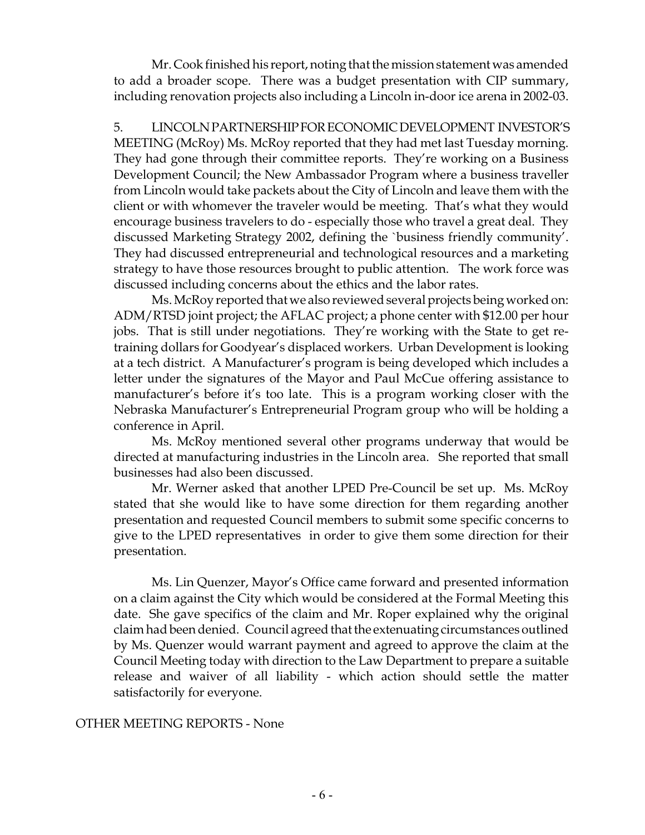Mr. Cook finished his report, noting that the mission statement was amended to add a broader scope. There was a budget presentation with CIP summary, including renovation projects also including a Lincoln in-door ice arena in 2002-03.

5. LINCOLN PARTNERSHIP FOR ECONOMIC DEVELOPMENT INVESTOR'S MEETING (McRoy) Ms. McRoy reported that they had met last Tuesday morning. They had gone through their committee reports. They're working on a Business Development Council; the New Ambassador Program where a business traveller from Lincoln would take packets about the City of Lincoln and leave them with the client or with whomever the traveler would be meeting. That's what they would encourage business travelers to do - especially those who travel a great deal. They discussed Marketing Strategy 2002, defining the `business friendly community'. They had discussed entrepreneurial and technological resources and a marketing strategy to have those resources brought to public attention. The work force was discussed including concerns about the ethics and the labor rates.

Ms. McRoy reported that we also reviewed several projects being worked on: ADM/RTSD joint project; the AFLAC project; a phone center with \$12.00 per hour jobs. That is still under negotiations. They're working with the State to get retraining dollars for Goodyear's displaced workers. Urban Development is looking at a tech district. A Manufacturer's program is being developed which includes a letter under the signatures of the Mayor and Paul McCue offering assistance to manufacturer's before it's too late. This is a program working closer with the Nebraska Manufacturer's Entrepreneurial Program group who will be holding a conference in April.

Ms. McRoy mentioned several other programs underway that would be directed at manufacturing industries in the Lincoln area. She reported that small businesses had also been discussed.

Mr. Werner asked that another LPED Pre-Council be set up. Ms. McRoy stated that she would like to have some direction for them regarding another presentation and requested Council members to submit some specific concerns to give to the LPED representatives in order to give them some direction for their presentation.

Ms. Lin Quenzer, Mayor's Office came forward and presented information on a claim against the City which would be considered at the Formal Meeting this date. She gave specifics of the claim and Mr. Roper explained why the original claim had been denied. Council agreed that the extenuating circumstances outlined by Ms. Quenzer would warrant payment and agreed to approve the claim at the Council Meeting today with direction to the Law Department to prepare a suitable release and waiver of all liability - which action should settle the matter satisfactorily for everyone.

#### OTHER MEETING REPORTS - None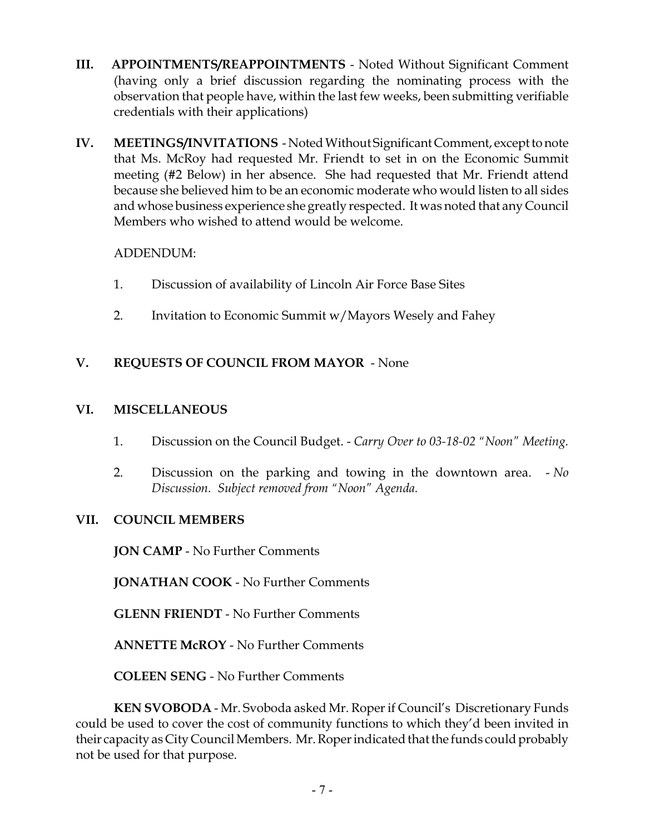- **III. APPOINTMENTS/REAPPOINTMENTS** Noted Without Significant Comment (having only a brief discussion regarding the nominating process with the observation that people have, within the last few weeks, been submitting verifiable credentials with their applications)
- **IV. MEETINGS/INVITATIONS**  Noted Without Significant Comment, except to note that Ms. McRoy had requested Mr. Friendt to set in on the Economic Summit meeting (#2 Below) in her absence. She had requested that Mr. Friendt attend because she believed him to be an economic moderate who would listen to all sides and whose business experience she greatly respected. It was noted that any Council Members who wished to attend would be welcome.

## ADDENDUM:

- 1. Discussion of availability of Lincoln Air Force Base Sites
- 2. Invitation to Economic Summit w/Mayors Wesely and Fahey

## **V. REQUESTS OF COUNCIL FROM MAYOR** - None

## **VI. MISCELLANEOUS**

- 1. Discussion on the Council Budget. *Carry Over to 03-18-02 "Noon" Meeting.*
- 2. Discussion on the parking and towing in the downtown area. *No Discussion. Subject removed from "Noon" Agenda.*

## **VII. COUNCIL MEMBERS**

**JON CAMP** - No Further Comments

**JONATHAN COOK** - No Further Comments

**GLENN FRIENDT** - No Further Comments

**ANNETTE McROY** - No Further Comments

**COLEEN SENG** - No Further Comments

**KEN SVOBODA** - Mr. Svoboda asked Mr. Roper if Council's Discretionary Funds could be used to cover the cost of community functions to which they'd been invited in their capacity as City Council Members. Mr. Roper indicated that the funds could probably not be used for that purpose.